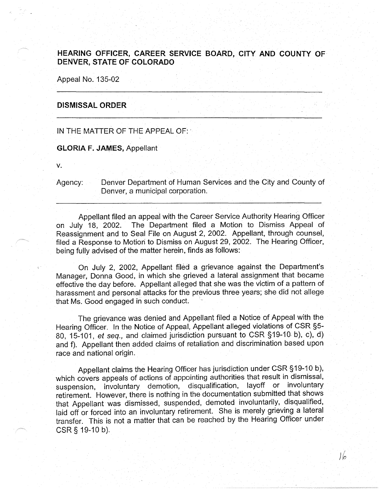## **HEARING OFFICER, CAREER SERVICE BOARD, CITY AND COUNTY OF DENVER, STATE OF COLORADO**

Appeal No. 135-02

## **DISMISSAL ORDER**

IN THE MATTER OF THE APPEAL OF:·

**GLORIA F. JAMES,** Appellant

**V.** 

Agency: Denver Department of Human Services and the City and County of Denver, a municipal corporation.

Appellant filed an appeal with the Career Service Authority Hearing Officer on July 18, 2002. The Department filed a Motion to Dismiss Appeal of Reassignment and to Seal File on August 2, 2002. Appellant, through counsel, filed a Response to Motion to Dismiss on August 29, 2002. The Hearing Officer, being fully advised of the matter herein, finds as follows:

On July 2, 2002, Appellant filed a grievance against the Department's Manager; Donna Good, in which she grieved a lateral assignment that became effective the day before. Appellant alleged that she was the victim of a pattern of harassment and personal attacks for the previous three years; she did not allege that Ms. Good engaged in such conduct.

The grievance was denied and Appellant filed a Notice of Appeal with the Hearing Officer. In the Notice of Appeal, Appellant alleged violations of CSR §5- 80, 15-101, et seq., and claimed jurisdiction pursuant to CSR §19-10- b), c), d) and f). Appellant then added claims of retaliation and discrimination based upon race and national origin.

Appellant claims the Hearing Officer has jurisdiction under CSR §19-10 b), which covers appeals of actions of appointing authorities that result in dismissal, suspension, involuntary demotion, disqualification, layoff or involuntary retirement. However, there is nothing in the documentation submitted that shows that Appellant was dismissed, suspended, demoted involuntarily, disqualified, laid off or forced into an involuntary retirement. She is merely grieving a lateral transfer. This is not a matter that can be reached by the Hearing Officer under CSR§ 19-10 b).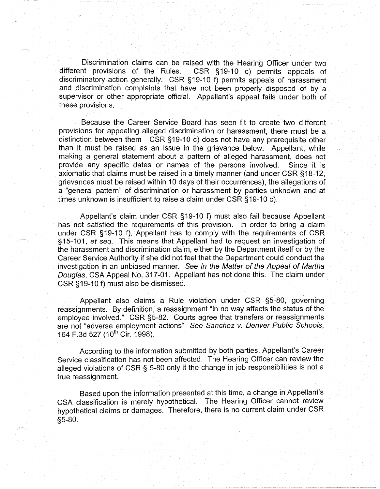Discrimination claims can be raised with the Hearing Officer under two<br>different provisions of the Rules. CSR §19-10 c) permits appeals of CSR §19-10 c) permits appeals of discriminatory action generally. CSR §19-10 f) permits appeals of harassment and discrimination complaints that have not been properly disposed of by a supervisor or other appropriate official. Appellant's appeal fails under both of these provisions.

Because the Career Service Board has seen fit to create two different provisions for appealing alleged discrimination or harassment, there must be a distinction between them CSR §19-10 c) does not have any prerequisite other than it must be raised as an issue in the grievance below. Appellant, while making a general statement about a pattern of alleged harassment, does not provide any specific dates or names of the persons involved. Since it is axiomatic that claims must be raised in a timely manner (and under CSR §18-12, grievances must be raised within 10 days of their occurrences), the allegations of a "general pattern" of discrimination or harassment by parties unknown and at times unknown is insufficient to raise a claim under CSR §19-10 c).

Appellant's claim under CSR §19-10 f) must also fail because Appellant has not satisfied the requirements of this provision. In order to bring a claim under CSR §19-10 f), Appellant has to comply with the requirements of CSR §15-101, et seq. This means that Appellant had to request an investigation of the harassment and discrimination claim, either by the Department itself or by the Career Service Authority if she did not feel that the Department could conduct the investigation in an unbiased manner. See In the Matter of the Appeal of Martha Douglas, CSA Appeal No. 317-01. Appellant has not done this. The claim under CSR §19-10 f) must also be dismissed.

Appellant also claims a Rule violation under CSR §5-80, governing reassignments. By definition, a reassignment "in no way affects the status of the employee involved." CSR §5-82. Courts agree that transfers or reassignments are not "adverse employment actions" See Sanchez v. Denver Public Schools, 164 F.3d 527 (10<sup>th</sup> Cir. 1998).

According to the information submitted by both parties, Appellant's Career Service classification has not been affected. The Hearing Officer can review the alleged violations of CSR § 5-80 only if the change in job responsibilities is not a true reassignment.

Based upon the information presented at this time, a change in Appellant's CSA classification is merely hypothetical. The Hearing Officer cannot review hypothetical claims or damages. Therefore, there is no current claim under CSR §5-80.